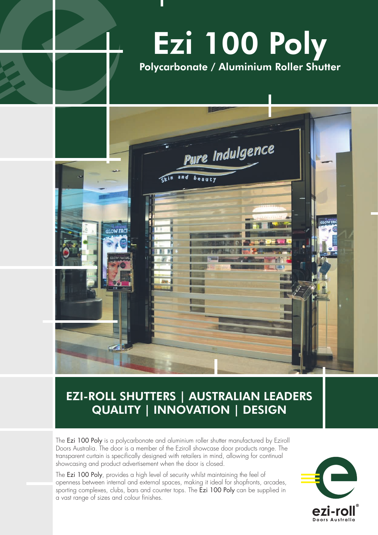# Ezi 100 Poly Polycarbonate / Aluminium Roller Shutter



## EZI-ROLL SHUTTERS | AUSTRALIAN LEADERS QUALITY | INNOVATION | DESIGN

The Ezi 100 Poly is a polycarbonate and aluminium roller shutter manufactured by Eziroll Doors Australia. The door is a member of the Eziroll showcase door products range. The transparent curtain is specifically designed with retailers in mind, allowing for continual showcasing and product advertisement when the door is closed.

The Ezi 100 Poly, provides a high level of security whilst maintaining the feel of openness between internal and external spaces, making it ideal for shopfronts, arcades, sporting complexes, clubs, bars and counter tops. The Ezi 100 Poly can be supplied in a vast range of sizes and colour finishes.